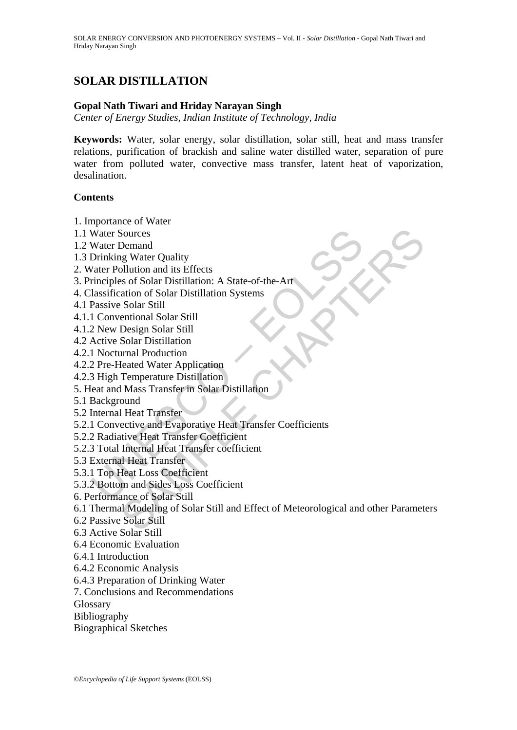# **SOLAR DISTILLATION**

### **Gopal Nath Tiwari and Hriday Narayan Singh**

*Center of Energy Studies, Indian Institute of Technology, India*

**Keywords:** Water, solar energy, solar distillation, solar still, heat and mass transfer relations, purification of brackish and saline water distilled water, separation of pure water from polluted water, convective mass transfer, latent heat of vaporization, desalination.

#### **Contents**

1. Importance of Water

- 1.1 Water Sources
- 1.2 Water Demand
- 1.3 Drinking Water Quality
- 2. Water Pollution and its Effects
- 3. Principles of Solar Distillation: A State-of-the-Art
- 4. Classification of Solar Distillation Systems
- 4.1 Passive Solar Still
- 4.1.1 Conventional Solar Still
- 4.1.2 New Design Solar Still
- 4.2 Active Solar Distillation
- 4.2.1 Nocturnal Production
- 4.2.2 Pre-Heated Water Application
- 4.2.3 High Temperature Distillation
- 5. Heat and Mass Transfer in Solar Distillation
- 5.1 Background

5.2 Internal Heat Transfer

- Water Sources<br>
Water Demand<br>
Drinking Water Quality<br>
Vater Pollution and its Effects<br>
Vater Pollution and its Effects<br>
rinciples of Solar Distillation: A State-of-the-Art<br>
lassification of Solar Distillation<br>
Passive Solar 5.2.1 Convective and Evaporative Heat Transfer Coefficients
- 5.2.2 Radiative Heat Transfer Coefficient
- 5.2.3 Total Internal Heat Transfer coefficient
- 5.3 External Heat Transfer
- 5.3.1 Top Heat Loss Coefficient
- 5.3.2 Bottom and Sides Loss Coefficient
- 6. Performance of Solar Still
- Sources<br>
Demand<br>
Demand<br>
Demand Marker Quality<br>
sultution and its Effects<br>
se of Solar Distillation: A State-of-the-Art<br>
Solar Stall<br>
Solar Stall<br>
Essign Solar Still<br>
Design Solar Still<br>
manal Production<br>
areal Mater Appli 6.1 Thermal Modeling of Solar Still and Effect of Meteorological and other Parameters
- 6.2 Passive Solar Still
- 6.3 Active Solar Still
- 6.4 Economic Evaluation
- 6.4.1 Introduction
- 6.4.2 Economic Analysis
- 6.4.3 Preparation of Drinking Water
- 7. Conclusions and Recommendations

Glossary

- Bibliography
- Biographical Sketches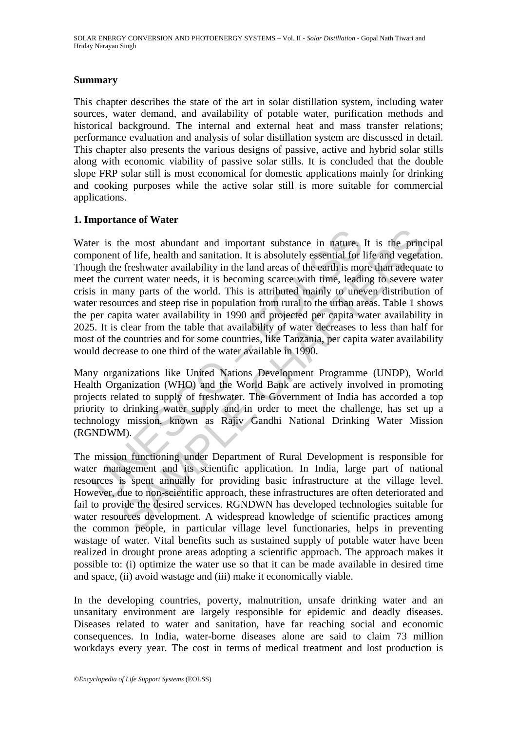### **Summary**

This chapter describes the state of the art in solar distillation system, including water sources, water demand, and availability of potable water, purification methods and historical background. The internal and external heat and mass transfer relations; performance evaluation and analysis of solar distillation system are discussed in detail. This chapter also presents the various designs of passive, active and hybrid solar stills along with economic viability of passive solar stills. It is concluded that the double slope FRP solar still is most economical for domestic applications mainly for drinking and cooking purposes while the active solar still is more suitable for commercial applications.

### **1. Importance of Water**

er is the most abundant and important substance in nature.<br>
supponent of life, health and sanitation. It is absolutely essential for lugh the freshwater availability in the land areas of the earth is mo<br>
t the current wate the most abundant and important substance in nature. It is the princ of life, health and sanitation. It is absolutely essential for life and vegetar freshwater availability in the land areas of the earth is more than adequ Water is the most abundant and important substance in nature. It is the principal component of life, health and sanitation. It is absolutely essential for life and vegetation. Though the freshwater availability in the land areas of the earth is more than adequate to meet the current water needs, it is becoming scarce with time, leading to severe water crisis in many parts of the world. This is attributed mainly to uneven distribution of water resources and steep rise in population from rural to the urban areas. Table 1 shows the per capita water availability in 1990 and projected per capita water availability in 2025. It is clear from the table that availability of water decreases to less than half for most of the countries and for some countries, like Tanzania, per capita water availability would decrease to one third of the water available in 1990.

Many organizations like United Nations Development Programme (UNDP), World Health Organization (WHO) and the World Bank are actively involved in promoting projects related to supply of freshwater. The Government of India has accorded a top priority to drinking water supply and in order to meet the challenge, has set up a technology mission, known as Rajiv Gandhi National Drinking Water Mission (RGNDWM).

The mission functioning under Department of Rural Development is responsible for water management and its scientific application. In India, large part of national resources is spent annually for providing basic infrastructure at the village level. However, due to non-scientific approach, these infrastructures are often deteriorated and fail to provide the desired services. RGNDWN has developed technologies suitable for water resources development. A widespread knowledge of scientific practices among the common people, in particular village level functionaries, helps in preventing wastage of water. Vital benefits such as sustained supply of potable water have been realized in drought prone areas adopting a scientific approach. The approach makes it possible to: (i) optimize the water use so that it can be made available in desired time and space, (ii) avoid wastage and (iii) make it economically viable.

In the developing countries, poverty, malnutrition, unsafe drinking water and an unsanitary environment are largely responsible for epidemic and deadly diseases. Diseases related to water and sanitation, have far reaching social and economic consequences. In India, water-borne diseases alone are said to claim 73 million workdays every year. The cost in terms of medical treatment and lost production is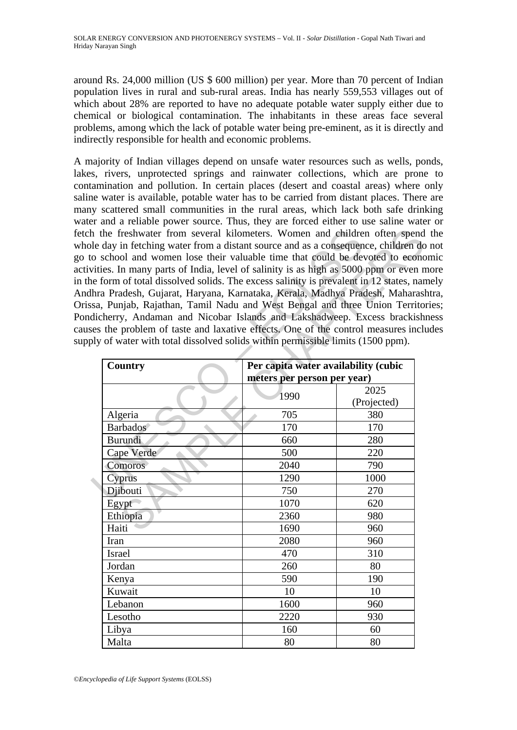around Rs. 24,000 million (US \$ 600 million) per year. More than 70 percent of Indian population lives in rural and sub-rural areas. India has nearly 559,553 villages out of which about 28% are reported to have no adequate potable water supply either due to chemical or biological contamination. The inhabitants in these areas face several problems, among which the lack of potable water being pre-eminent, as it is directly and indirectly responsible for health and economic problems.

A majority of Indian villages depend on unsafe water resources such as wells, ponds, lakes, rivers, unprotected springs and rainwater collections, which are prone to contamination and pollution. In certain places (desert and coastal areas) where only saline water is available, potable water has to be carried from distant places. There are many scattered small communities in the rural areas, which lack both safe drinking water and a reliable power source. Thus, they are forced either to use saline water or fetch the freshwater from several kilometers. Women and children often spend the whole day in fetching water from a distant source and as a consequence, children do not go to school and women lose their valuable time that could be devoted to economic activities. In many parts of India, level of salinity is as high as 5000 ppm or even more in the form of total dissolved solids. The excess salinity is prevalent in 12 states, namely Andhra Pradesh, Gujarat, Haryana, Karnataka, Kerala, Madhya Pradesh, Maharashtra, Orissa, Punjab, Rajathan, Tamil Nadu and West Bengal and three Union Territories; Pondicherry, Andaman and Nicobar Islands and Lakshadweep. Excess brackishness causes the problem of taste and laxative effects. One of the control measures includes supply of water with total dissolved solids within permissible limits (1500 ppm).

|                                                                                                                                                         | h the freshwater from several kilometers. Women and children often spend<br>le day in fetching water from a distant source and as a consequence, children do<br>to school and women lose their valuable time that could be devoted to economy<br>vities. In many parts of India, level of salinity is as high as 5000 ppm or even n |                                      |             |  |
|---------------------------------------------------------------------------------------------------------------------------------------------------------|-------------------------------------------------------------------------------------------------------------------------------------------------------------------------------------------------------------------------------------------------------------------------------------------------------------------------------------|--------------------------------------|-------------|--|
|                                                                                                                                                         | ne form of total dissolved solids. The excess salinity is prevalent in 12 states, nar                                                                                                                                                                                                                                               |                                      |             |  |
| lhra Pradesh, Gujarat, Haryana, Karnataka, Kerala, Madhya Pradesh, Maharasl<br>sa, Punjab, Rajathan, Tamil Nadu and West Bengal and three Union Territo |                                                                                                                                                                                                                                                                                                                                     |                                      |             |  |
|                                                                                                                                                         | dicherry, Andaman and Nicobar Islands and Lakshadweep. Excess brackish                                                                                                                                                                                                                                                              |                                      |             |  |
|                                                                                                                                                         | ses the problem of taste and laxative effects. One of the control measures inclu                                                                                                                                                                                                                                                    |                                      |             |  |
|                                                                                                                                                         | bly of water with total dissolved solids within permissible limits (1500 ppm).                                                                                                                                                                                                                                                      |                                      |             |  |
|                                                                                                                                                         |                                                                                                                                                                                                                                                                                                                                     |                                      |             |  |
|                                                                                                                                                         | Country                                                                                                                                                                                                                                                                                                                             | Per capita water availability (cubic |             |  |
|                                                                                                                                                         |                                                                                                                                                                                                                                                                                                                                     | meters per person per year)          |             |  |
|                                                                                                                                                         | 1990                                                                                                                                                                                                                                                                                                                                |                                      | 2025        |  |
|                                                                                                                                                         |                                                                                                                                                                                                                                                                                                                                     |                                      | (Projected) |  |
|                                                                                                                                                         | Algeria                                                                                                                                                                                                                                                                                                                             | 705                                  | 380         |  |
|                                                                                                                                                         | Barbados                                                                                                                                                                                                                                                                                                                            | 170                                  | 170         |  |
|                                                                                                                                                         | <b>Burundi</b>                                                                                                                                                                                                                                                                                                                      | 660                                  | 280         |  |
|                                                                                                                                                         | Cape Verde                                                                                                                                                                                                                                                                                                                          | 500                                  | 220         |  |
|                                                                                                                                                         | Comoros                                                                                                                                                                                                                                                                                                                             | 2040                                 | 790         |  |
|                                                                                                                                                         | Cyprus                                                                                                                                                                                                                                                                                                                              | 1290                                 | 1000        |  |
|                                                                                                                                                         | Djibouti                                                                                                                                                                                                                                                                                                                            | 750                                  | 270         |  |
|                                                                                                                                                         | Egypt                                                                                                                                                                                                                                                                                                                               | 1070                                 | 620         |  |
|                                                                                                                                                         | Ethiopia                                                                                                                                                                                                                                                                                                                            | 2360                                 | 980         |  |
|                                                                                                                                                         | Haiti                                                                                                                                                                                                                                                                                                                               | 1690                                 | 960         |  |
|                                                                                                                                                         | Iran                                                                                                                                                                                                                                                                                                                                | 2080                                 | 960         |  |
|                                                                                                                                                         | Israel                                                                                                                                                                                                                                                                                                                              | 470                                  | 310         |  |
|                                                                                                                                                         | Jordan                                                                                                                                                                                                                                                                                                                              | 260                                  | 80          |  |
|                                                                                                                                                         | Kenya                                                                                                                                                                                                                                                                                                                               | 590                                  | 190         |  |
|                                                                                                                                                         | Kuwait                                                                                                                                                                                                                                                                                                                              | 10                                   | 10          |  |
|                                                                                                                                                         | Lebanon                                                                                                                                                                                                                                                                                                                             | 1600                                 | 960         |  |
|                                                                                                                                                         | Lesotho                                                                                                                                                                                                                                                                                                                             | 2220                                 | 930         |  |
|                                                                                                                                                         | Libya                                                                                                                                                                                                                                                                                                                               | 160                                  | 60          |  |
|                                                                                                                                                         | Malta                                                                                                                                                                                                                                                                                                                               | 80                                   | 80          |  |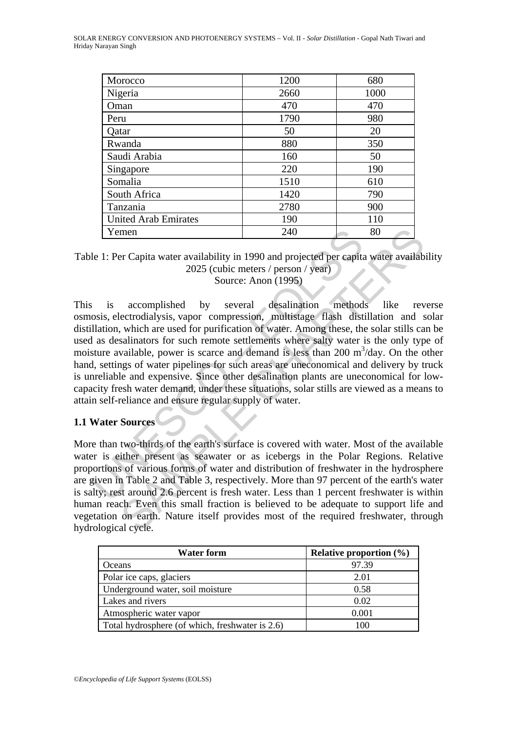| Morocco                     | 1200 | 680  |
|-----------------------------|------|------|
| Nigeria                     | 2660 | 1000 |
| Oman                        | 470  | 470  |
| Peru                        | 1790 | 980  |
| Qatar                       | 50   | 20   |
| Rwanda                      | 880  | 350  |
| Saudi Arabia                | 160  | 50   |
| Singapore                   | 220  | 190  |
| Somalia                     | 1510 | 610  |
| South Africa                | 1420 | 790  |
| Tanzania                    | 2780 | 900  |
| <b>United Arab Emirates</b> | 190  | 110  |
| Yemen                       | 240  | 80   |

Table 1: Per Capita water availability in 1990 and projected per capita water availability 2025 (cubic meters / person / year) Source: Anon (1995)

Xemen 240<br>
240<br>
240<br>
21 E Per Capita water availability in 1990 and projected per eapita<br>
2025 (cubic meters / person / year)<br>
Source: Anon (1995)<br>
5 is accomplished by several desalination method<br>
coosis, electrodialysis, 240 80<br>
In Capita water availability in 1990 and projected per capita water availab<br>
2025 (cubic meters / person / year)<br>
Source: Anon (1995)<br>
accomplished by several desalination methods like revertodialysis, vapor compre This is accomplished by several desalination methods like reverse osmosis, electrodialysis, vapor compression, multistage flash distillation and solar distillation, which are used for purification of water. Among these, the solar stills can be used as desalinators for such remote settlements where salty water is the only type of moisture available, power is scarce and demand is less than 200 m<sup>3</sup>/day. On the other hand, settings of water pipelines for such areas are uneconomical and delivery by truck is unreliable and expensive. Since other desalination plants are uneconomical for lowcapacity fresh water demand, under these situations, solar stills are viewed as a means to attain self-reliance and ensure regular supply of water.

### **1.1 Water Sources**

More than two-thirds of the earth's surface is covered with water. Most of the available water is either present as seawater or as icebergs in the Polar Regions. Relative proportions of various forms of water and distribution of freshwater in the hydrosphere are given in Table 2 and Table 3, respectively. More than 97 percent of the earth's water is salty; rest around 2.6 percent is fresh water. Less than 1 percent freshwater is within human reach. Even this small fraction is believed to be adequate to support life and vegetation on earth. Nature itself provides most of the required freshwater, through hydrological cycle.

| <b>Water form</b>                               | Relative proportion $(\% )$ |
|-------------------------------------------------|-----------------------------|
| Oceans                                          | 97.39                       |
| Polar ice caps, glaciers                        | 2.01                        |
| Underground water, soil moisture                | 0.58                        |
| Lakes and rivers                                | 0.02                        |
| Atmospheric water vapor                         | 0.001                       |
| Total hydrosphere (of which, freshwater is 2.6) | 100                         |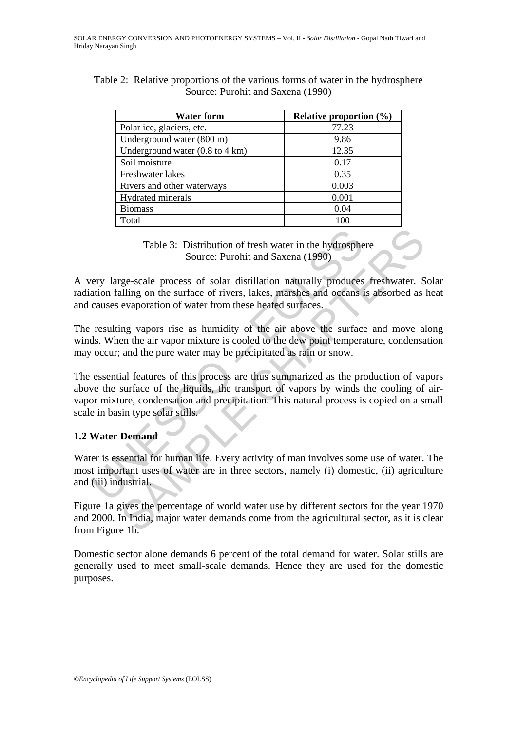|                                   | Table 2: Relative proportions of the various forms of water in the hydrosphere |  |  |  |
|-----------------------------------|--------------------------------------------------------------------------------|--|--|--|
| Source: Purohit and Saxena (1990) |                                                                                |  |  |  |

| <b>Water form</b>                                  | Relative proportion $(\% )$ |
|----------------------------------------------------|-----------------------------|
| Polar ice, glaciers, etc.                          | 77.23                       |
| Underground water (800 m)                          | 9.86                        |
| Underground water $(0.8 \text{ to } 4 \text{ km})$ | 12.35                       |
| Soil moisture                                      | 0.17                        |
| Freshwater lakes                                   | 0.35                        |
| Rivers and other waterways                         | 0.003                       |
| Hydrated minerals                                  | 0.001                       |
| <b>Biomass</b>                                     | 0.04                        |
| Total                                              |                             |

Table 3: Distribution of fresh water in the hydrosphere Source: Purohit and Saxena (1990)

A very large-scale process of solar distillation naturally produces freshwater. Solar radiation falling on the surface of rivers, lakes, marshes and oceans is absorbed as heat and causes evaporation of water from these heated surfaces.

The resulting vapors rise as humidity of the air above the surface and move along winds. When the air vapor mixture is cooled to the dew point temperature, condensation may occur; and the pure water may be precipitated as rain or snow.

Table 3: Distribution of fresh water in the hydrosphe<br>Source: Purohit and Saxena (1990)<br>ery large-scale process of solar distillation naturally produces<br>ation falling on the surface of rivers, lakes, marshes and oceans i<br>c Table 3: Distribution of fresh water in the hydrosphere<br>
Source: Purohit and Saxena (1990)<br>
rge-scale process of solar distillation naturally produces freshwater. S<br>
alling on the surface of rivers, lakes, marshes and ocea The essential features of this process are thus summarized as the production of vapors above the surface of the liquids, the transport of vapors by winds the cooling of airvapor mixture, condensation and precipitation. This natural process is copied on a small scale in basin type solar stills.

# **1.2 Water Demand**

Water is essential for human life. Every activity of man involves some use of water. The most important uses of water are in three sectors, namely (i) domestic, (ii) agriculture and (iii) industrial.

Figure 1a gives the percentage of world water use by different sectors for the year 1970 and 2000. In India, major water demands come from the agricultural sector, as it is clear from Figure 1b.

Domestic sector alone demands 6 percent of the total demand for water. Solar stills are generally used to meet small-scale demands. Hence they are used for the domestic purposes.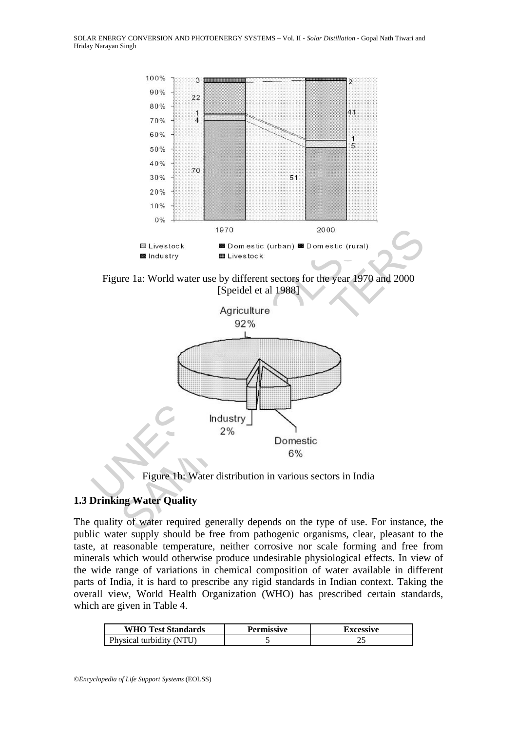

Figure 1a: World water use by different sectors for the year 1970 and 2000 [Speidel et al 1988]



Figure 1b: Water distribution in various sectors in India

# **1.3 Drinking Water Quality**

The quality of water required generally depends on the type of use. For instance, the public water supply should be free from pathogenic organisms, clear, pleasant to the taste, at reasonable temperature, neither corrosive nor scale forming and free from minerals which would otherwise produce undesirable physiological effects. In view of the wide range of variations in chemical composition of water available in different parts of India, it is hard to prescribe any rigid standards in Indian context. Taking the overall view, World Health Organization (WHO) has prescribed certain standards, which are given in Table 4.

| <b>WHO Test Standards</b> | Permissive | <b>Excessive</b> |
|---------------------------|------------|------------------|
| Physical turbidity (NTU)  |            |                  |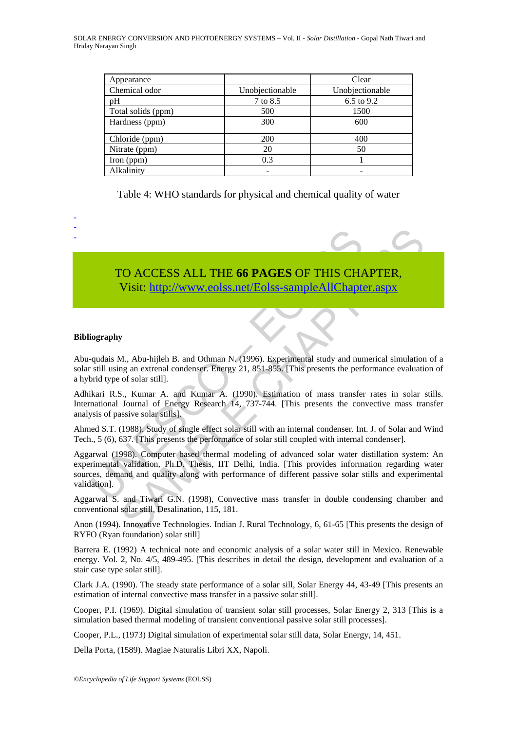SOLAR ENERGY CONVERSION AND PHOTOENERGY SYSTEMS – Vol. II - *Solar Distillation* - Gopal Nath Tiwari and Hriday Narayan Singh

| Appearance         |                 | Clear           |
|--------------------|-----------------|-----------------|
| Chemical odor      | Unobjectionable | Unobjectionable |
| pH                 | 7 to 8.5        | 6.5 to 9.2      |
| Total solids (ppm) | 500             | 1500            |
| Hardness (ppm)     | 300             | 600             |
| Chloride (ppm)     | 200             | 400             |
| Nitrate (ppm)      | 20              | 50              |
| Iron (ppm)         | 0.3             |                 |
| Alkalinity         |                 |                 |

Table 4: WHO standards for physical and chemical quality of water

TO ACCESS ALL THE **66 PAGES** OF THIS CHAPTER, Visit: http://www.eolss.net/Eolss-sampleAllChapter.aspx

#### **Bibliography**

- - -

Abu-qudais M., Abu-hijleh B. and Othman N. (1996). Experimental study and numerical simulation of a solar still using an extrenal condenser. Energy 21, 851-855. [This presents the performance evaluation of a hybrid type of solar still].

Adhikari R.S., Kumar A. and Kumar A. (1990). Estimation of mass transfer rates in solar stills. International Journal of Energy Research 14, 737-744. [This presents the convective mass transfer analysis of passive solar stills].

Ahmed S.T. (1988). Study of single effect solar still with an internal condenser. Int. J. of Solar and Wind Tech., 5 (6), 637. [This presents the performance of solar still coupled with internal condenser].

TO ACCESS ALL THE 66 PAGES OF THIS CHA<br>
Visit: http://www.colss.net/Eolss-sampleAllChapte<br>
ography<br>
qudais M., Abu-hijleh B. and Othman N. (1996). Experimental study and nur<br>
still using an extrenal condenser. Energy 21, 8 TO ACCESS ALL THE 66 PAGES OF THIS CHAP[TER](https://www.eolss.net/ebooklib/sc_cart.aspx?File=E6-106-18),<br>
Visit: http://www.colss.net/Folss-sampleAllChapter.aspx<br>
M. Abu-hijeh B. and Othman N. (1996). Experimental study and numerical simulation<br>
and n. Abu-hijeh B. and Othman N. (19 Aggarwal (1998). Computer based thermal modeling of advanced solar water distillation system: An experimental validation, Ph.D. Thesis, IIT Delhi, India. [This provides information regarding water sources, demand and quality along with performance of different passive solar stills and experimental validation].

Aggarwal S. and Tiwari G.N. (1998), Convective mass transfer in double condensing chamber and conventional solar still, Desalination, 115, 181.

Anon (1994). Innovative Technologies. Indian J. Rural Technology, 6, 61-65 [This presents the design of RYFO (Ryan foundation) solar still]

Barrera E. (1992) A technical note and economic analysis of a solar water still in Mexico. Renewable energy. Vol. 2, No. 4/5, 489-495. [This describes in detail the design, development and evaluation of a stair case type solar still].

Clark J.A. (1990). The steady state performance of a solar sill, Solar Energy 44, 43-49 [This presents an estimation of internal convective mass transfer in a passive solar still].

Cooper, P.I. (1969). Digital simulation of transient solar still processes, Solar Energy 2, 313 [This is a simulation based thermal modeling of transient conventional passive solar still processes].

Cooper, P.L., (1973) Digital simulation of experimental solar still data, Solar Energy, 14, 451.

Della Porta, (1589). Magiae Naturalis Libri XX, Napoli.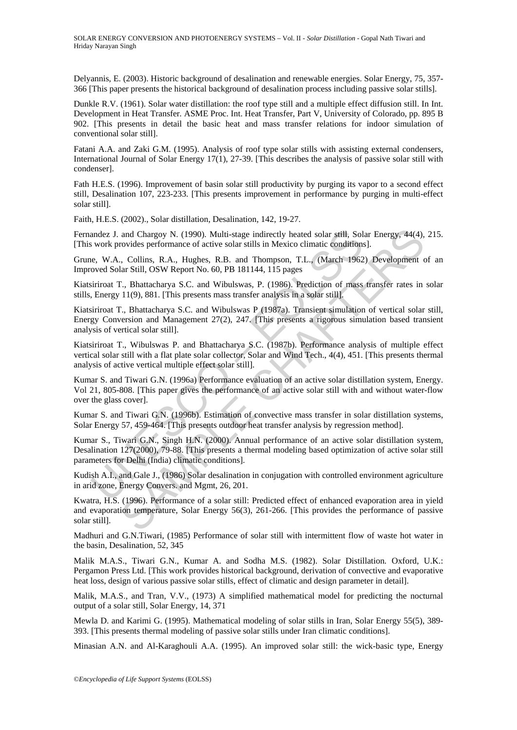Delyannis, E. (2003). Historic background of desalination and renewable energies. Solar Energy, 75, 357- 366 [This paper presents the historical background of desalination process including passive solar stills].

Dunkle R.V. (1961). Solar water distillation: the roof type still and a multiple effect diffusion still. In Int. Development in Heat Transfer*.* ASME Proc. Int. Heat Transfer*,* Part V, University of Colorado, pp. 895 B 902. [This presents in detail the basic heat and mass transfer relations for indoor simulation of conventional solar still].

Fatani A.A. and Zaki G.M. (1995). Analysis of roof type solar stills with assisting external condensers, International Journal of Solar Energy 17(1), 27-39. [This describes the analysis of passive solar still with condenser].

Fath H.E.S. (1996). Improvement of basin solar still productivity by purging its vapor to a second effect still, Desalination 107, 223-233. [This presents improvement in performance by purging in multi-effect solar still].

Faith, H.E.S. (2002)., Solar distillation, Desalination, 142, 19-27.

Fernandez J. and Chargoy N. (1990). Multi-stage indirectly heated solar still, Solar Energy*,* 44(4), 215. [This work provides performance of active solar stills in Mexico climatic conditions].

Grune, W.A., Collins, R.A., Hughes, R.B. and Thompson, T.L., (March 1962) Development of an Improved Solar Still, OSW Report No. 60, PB 181144, 115 pages

Kiatsiriroat T., Bhattacharya S.C. and Wibulswas, P. (1986). Prediction of mass transfer rates in solar stills, Energy 11(9), 881. [This presents mass transfer analysis in a solar still].

Kiatsiriroat T., Bhattacharya S.C. and Wibulswas P (1987a). Transient simulation of vertical solar still, Energy Conversion and Management 27(2), 247. [This presents a rigorous simulation based transient analysis of vertical solar still].

Kiatsiriroat T., Wibulswas P. and Bhattacharya S.C. (1987b). Performance analysis of multiple effect vertical solar still with a flat plate solar collector, Solar and Wind Tech., 4(4), 451. [This presents thermal analysis of active vertical multiple effect solar still].

andez J. and Chargoy N. (1990). Multi-stage indirectly heated solar still, Sol<br>swork provides performance of active solar stills in Mexico climatic conditions<br>e. W.A., Collins, R.A., Hughes, R.B. and Thompson, T.L., (March and Chargoy N. (1990). Multi-stage indirectly heated solar still, Solar Energy, 44(4), rovides performance of active solar stills in Mexico climatic conditions].<br>
... Collins, R.A., Hughes, R.B. and Thompson, T.L. (March 1 Kumar S. and Tiwari G.N. (1996a) Performance evaluation of an active solar distillation system, Energy. Vol 21, 805-808. [This paper gives the performance of an active solar still with and without water-flow over the glass cover].

Kumar S. and Tiwari G.N. (1996b). Estimation of convective mass transfer in solar distillation systems, Solar Energy 57, 459-464. [This presents outdoor heat transfer analysis by regression method].

Kumar S., Tiwari G.N., Singh H.N. (2000). Annual performance of an active solar distillation system, Desalination 127(2000), 79-88. [This presents a thermal modeling based optimization of active solar still parameters for Delhi (India) climatic conditions].

Kudish A.I., and Gale J., (1986) Solar desalination in conjugation with controlled environment agriculture in arid zone, Energy Convers. and Mgmt, 26, 201.

Kwatra, H.S. (1996). Performance of a solar still: Predicted effect of enhanced evaporation area in yield and evaporation temperature, Solar Energy 56(3), 261-266. [This provides the performance of passive solar still].

Madhuri and G.N.Tiwari, (1985) Performance of solar still with intermittent flow of waste hot water in the basin, Desalination, 52, 345

Malik M.A.S., Tiwari G.N., Kumar A. and Sodha M.S. (1982). Solar Distillation*.* Oxford, U.K.: Pergamon Press Ltd. [This work provides historical background, derivation of convective and evaporative heat loss, design of various passive solar stills, effect of climatic and design parameter in detail].

Malik, M.A.S., and Tran, V.V., (1973) A simplified mathematical model for predicting the nocturnal output of a solar still, Solar Energy, 14, 371

Mewla D. and Karimi G. (1995). Mathematical modeling of solar stills in Iran, Solar Energy 55(5), 389- 393. [This presents thermal modeling of passive solar stills under Iran climatic conditions].

Minasian A.N. and Al-Karaghouli A.A. (1995). An improved solar still: the wick-basic type, Energy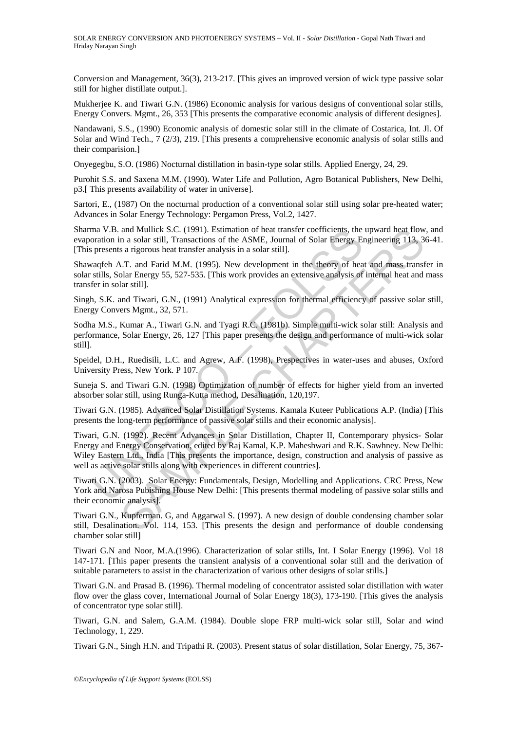Conversion and Management, 36(3), 213-217. [This gives an improved version of wick type passive solar still for higher distillate output.].

Mukherjee K. and Tiwari G.N. (1986) Economic analysis for various designs of conventional solar stills, Energy Convers. Mgmt., 26, 353 [This presents the comparative economic analysis of different designes].

Nandawani, S.S., (1990) Economic analysis of domestic solar still in the climate of Costarica, Int. Jl. Of Solar and Wind Tech., 7 (2/3), 219. [This presents a comprehensive economic analysis of solar stills and their comparision.]

Onyegegbu, S.O. (1986) Nocturnal distillation in basin-type solar stills. Applied Energy, 24, 29.

Purohit S.S. and Saxena M.M. (1990). Water Life and Pollution, Agro Botanical Publishers, New Delhi, p3.[ This presents availability of water in universe].

Sartori, E., (1987) On the nocturnal production of a conventional solar still using solar pre-heated water; Advances in Solar Energy Technology: Pergamon Press, Vol.2, 1427.

Sharma V.B. and Mullick S.C. (1991). Estimation of heat transfer coefficients, the upward heat flow, and evaporation in a solar still, Transactions of the ASME, Journal of Solar Energy Engineering 113, 36-41. [This presents a rigorous heat transfer analysis in a solar still].

Shawaqfeh A.T. and Farid M.M. (1995). New development in the theory of heat and mass transfer in solar stills, Solar Energy 55, 527-535. [This work provides an extensive analysis of internal heat and mass transfer in solar still].

Singh, S.K. and Tiwari, G.N., (1991) Analytical expression for thermal efficiency of passive solar still, Energy Convers Mgmt., 32, 571.

Sodha M.S., Kumar A., Tiwari G.N. and Tyagi R.C. (1981b). Simple multi-wick solar still: Analysis and performance, Solar Energy, 26, 127 [This paper presents the design and performance of multi-wick solar still].

Speidel, D.H., Ruedisili, L.C. and Agrew, A.F. (1998), Prespectives in water-uses and abuses, Oxford University Press, New York. P 107.

Suneja S. and Tiwari G.N. (1998) Optimization of number of effects for higher yield from an inverted absorber solar still, using Runga-Kutta method, Desalination, 120,197.

Tiwari G.N. (1985). Advanced Solar Distillation Systems. Kamala Kuteer Publications A.P. (India) [This presents the long-term performance of passive solar stills and their economic analysis].

ma V.B. and Mullick S.C. (1991). Estimation of heat transfer coefficients, the<br>oration in a solar still, Transactions of the ASME, Journal of Solar Energy En<br>presents a rigorous heat transfer analysis in a solar still].<br>va and Mullick S.C. (1990). Estimation of heat transfer coefficients, the upward heat Aflow<br>an a solar still, Transactions of the ASME, Journal of Solar Energy Engineering 113, 3<br>s a rigorous heat transfer analysis in a solar Tiwari, G.N. (1992). Recent Advances in Solar Distillation, Chapter II, Contemporary physics- Solar Energy and Energy Conservation, edited by Raj Kamal, K.P. Maheshwari and R.K. Sawhney. New Delhi: Wiley Eastern Ltd., India [This presents the importance, design, construction and analysis of passive as well as active solar stills along with experiences in different countries].

Tiwari G.N. (2003). Solar Energy: Fundamentals, Design, Modelling and Applications. CRC Press, New York and Narosa Pubishing House New Delhi: [This presents thermal modeling of passive solar stills and their economic analysis].

Tiwari G.N., Kupferman. G, and Aggarwal S. (1997). A new design of double condensing chamber solar still, Desalination. Vol. 114, 153. [This presents the design and performance of double condensing chamber solar still]

Tiwari G.N and Noor, M.A.(1996). Characterization of solar stills, Int. I Solar Energy (1996). Vol 18 147-171. [This paper presents the transient analysis of a conventional solar still and the derivation of suitable parameters to assist in the characterization of various other designs of solar stills.]

Tiwari G.N. and Prasad B. (1996). Thermal modeling of concentrator assisted solar distillation with water flow over the glass cover, International Journal of Solar Energy 18(3), 173-190. [This gives the analysis of concentrator type solar still].

Tiwari, G.N. and Salem, G.A.M. (1984). Double slope FRP multi-wick solar still, Solar and wind Technology, 1, 229.

Tiwari G.N., Singh H.N. and Tripathi R. (2003). Present status of solar distillation, Solar Energy, 75, 367-